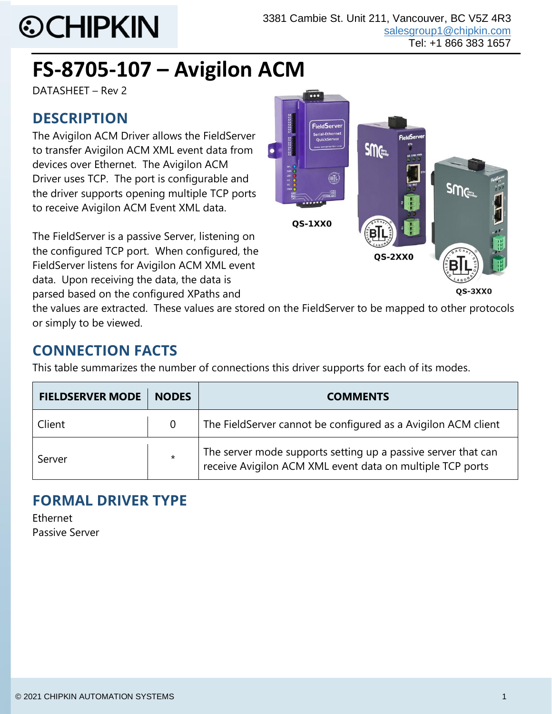# **©CHIPKIN**

# **FS-8705-107 – Avigilon ACM**

DATASHEET – Rev 2

# **DESCRIPTION**

The Avigilon ACM Driver allows the FieldServer to transfer Avigilon ACM XML event data from devices over Ethernet. The Avigilon ACM Driver uses TCP. The port is configurable and the driver supports opening multiple TCP ports to receive Avigilon ACM Event XML data.

The FieldServer is a passive Server, listening on the configured TCP port. When configured, the FieldServer listens for Avigilon ACM XML event data. Upon receiving the data, the data is parsed based on the configured XPaths and



the values are extracted. These values are stored on the FieldServer to be mapped to other protocols or simply to be viewed.

# **CONNECTION FACTS**

This table summarizes the number of connections this driver supports for each of its modes.

| <b>FIELDSERVER MODE</b> | <b>NODES</b>   | <b>COMMENTS</b>                                                                                                            |  |
|-------------------------|----------------|----------------------------------------------------------------------------------------------------------------------------|--|
| Client                  | $\overline{0}$ | The FieldServer cannot be configured as a Avigilon ACM client                                                              |  |
| Server                  | $\star$        | The server mode supports setting up a passive server that can<br>receive Avigilon ACM XML event data on multiple TCP ports |  |

## **FORMAL DRIVER TYPE**

Ethernet Passive Server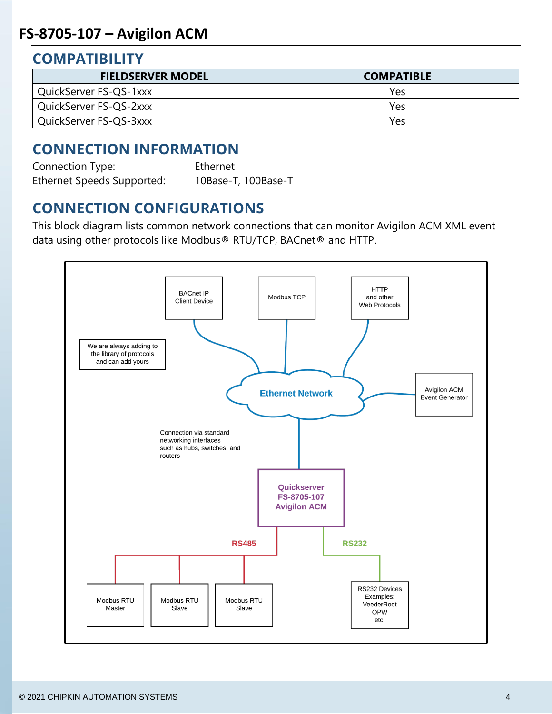#### **COMPATIBILITY**

| <b>FIELDSERVER MODEL</b> | <b>COMPATIBLE</b> |
|--------------------------|-------------------|
| QuickServer FS-QS-1xxx   | Yes               |
| QuickServer FS-QS-2xxx   | Yes               |
| QuickServer FS-QS-3xxx   | Yes               |

## **CONNECTION INFORMATION**

Connection Type: Ethernet Ethernet Speeds Supported: 10Base-T, 100Base-T

#### **CONNECTION CONFIGURATIONS**

This block diagram lists common network connections that can monitor Avigilon ACM XML event data using other protocols like Modbus® RTU/TCP, BACnet® and HTTP.

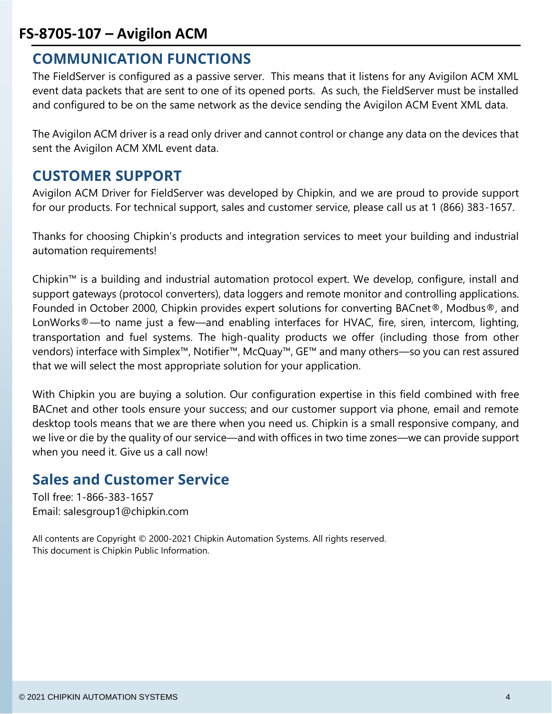#### **FS-8705-107 – Avigilon ACM**

#### **COMMUNICATION FUNCTIONS**

The FieldServer is configured as a passive server. This means that it listens for any Avigilon ACM XML event data packets that are sent to one of its opened ports. As such, the FieldServer must be installed and configured to be on the same network as the device sending the Avigilon ACM Event XML data.

The Avigilon ACM driver is a read only driver and cannot control or change any data on the devices that sent the Avigilon ACM XML event data.

#### **CUSTOMER SUPPORT**

Avigilon ACM Driver for FieldServer was developed by Chipkin, and we are proud to provide support for our products. For technical support, sales and customer service, please call us at 1 (866) 383-1657.

Thanks for choosing Chipkin's products and integration services to meet your building and industrial automation requirements!

Chipkin™ is a building and industrial automation protocol expert. We develop, configure, install and support gateways (protocol converters), data loggers and remote monitor and controlling applications. Founded in October 2000, Chipkin provides expert solutions for converting BACnet®, Modbus®, and LonWorks®—to name just a few—and enabling interfaces for HVAC, fire, siren, intercom, lighting, transportation and fuel systems. The high-quality products we offer (including those from other vendors) interface with Simplex™, Notifier™, McQuay™, GE™ and many others—so you can rest assured that we will select the most appropriate solution for your application.

With Chipkin you are buying a solution. Our configuration expertise in this field combined with free BACnet and other tools ensure your success; and our customer support via phone, email and remote desktop tools means that we are there when you need us. Chipkin is a small responsive company, and we live or die by the quality of our service—and with offices in two time zones—we can provide support when you need it. Give us a call now!

#### **Sales and Customer Service**

Toll free: 1-866-383-1657 Email: salesgroup1@chipkin.com

All contents are Copyright © 2000-2021 Chipkin Automation Systems. All rights reserved. This document is Chipkin Public Information.